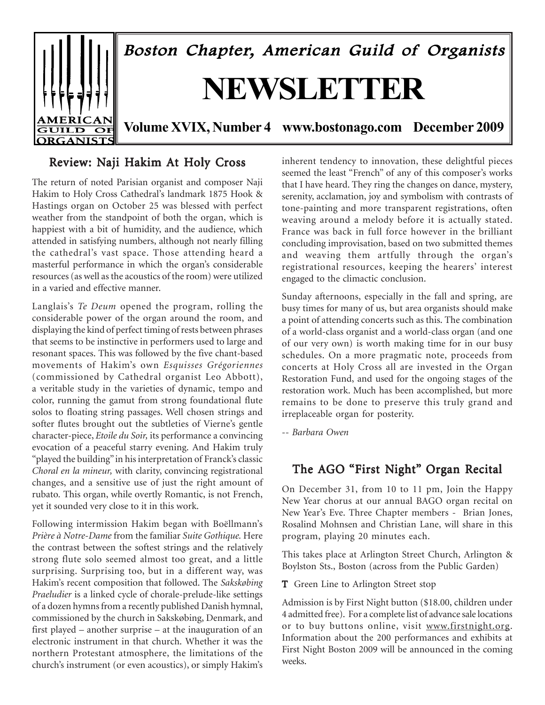

## Review: Naji Hakim At Holy Cross

The return of noted Parisian organist and composer Naji Hakim to Holy Cross Cathedral's landmark 1875 Hook & Hastings organ on October 25 was blessed with perfect weather from the standpoint of both the organ, which is happiest with a bit of humidity, and the audience, which attended in satisfying numbers, although not nearly filling the cathedral's vast space. Those attending heard a masterful performance in which the organ's considerable resources (as well as the acoustics of the room) were utilized in a varied and effective manner.

Langlais's *Te Deum* opened the program, rolling the considerable power of the organ around the room, and displaying the kind of perfect timing of rests between phrases that seems to be instinctive in performers used to large and resonant spaces. This was followed by the five chant-based movements of Hakim's own *Esquisses Grégoriennes* (commissioned by Cathedral organist Leo Abbott), a veritable study in the varieties of dynamic, tempo and color, running the gamut from strong foundational flute solos to floating string passages. Well chosen strings and softer flutes brought out the subtleties of Vierne's gentle character-piece, *Etoile du Soir,* its performance a convincing evocation of a peaceful starry evening. And Hakim truly "played the building" in his interpretation of Franck's classic *Choral en la mineur,* with clarity, convincing registrational changes, and a sensitive use of just the right amount of rubato*.* This organ, while overtly Romantic, is not French, yet it sounded very close to it in this work.

Following intermission Hakim began with Boëllmann's *Prière à Notre-Dame* from the familiar *Suite Gothique.* Here the contrast between the softest strings and the relatively strong flute solo seemed almost too great, and a little surprising. Surprising too, but in a different way, was Hakim's recent composition that followed. The *Sakskøbing Praeludier* is a linked cycle of chorale-prelude-like settings of a dozen hymns from a recently published Danish hymnal, commissioned by the church in Sakskøbing, Denmark, and first played – another surprise – at the inauguration of an electronic instrument in that church. Whether it was the northern Protestant atmosphere, the limitations of the church's instrument (or even acoustics), or simply Hakim's

inherent tendency to innovation, these delightful pieces seemed the least "French" of any of this composer's works that I have heard. They ring the changes on dance, mystery, serenity, acclamation, joy and symbolism with contrasts of tone-painting and more transparent registrations, often weaving around a melody before it is actually stated. France was back in full force however in the brilliant concluding improvisation, based on two submitted themes and weaving them artfully through the organ's registrational resources, keeping the hearers' interest engaged to the climactic conclusion.

Sunday afternoons, especially in the fall and spring, are busy times for many of us, but area organists should make a point of attending concerts such as this. The combination of a world-class organist and a world-class organ (and one of our very own) is worth making time for in our busy schedules. On a more pragmatic note, proceeds from concerts at Holy Cross all are invested in the Organ Restoration Fund, and used for the ongoing stages of the restoration work. Much has been accomplished, but more remains to be done to preserve this truly grand and irreplaceable organ for posterity.

-- *Barbara Owen*

## The AGO "First Night" Organ Recital

On December 31, from 10 to 11 pm, Join the Happy New Year chorus at our annual BAGO organ recital on New Year's Eve. Three Chapter members - Brian Jones, Rosalind Mohnsen and Christian Lane, will share in this program, playing 20 minutes each.

This takes place at Arlington Street Church, Arlington & Boylston Sts., Boston (across from the Public Garden)

T Green Line to Arlington Street stop

Admission is by First Night button (\$18.00, children under 4 admitted free). For a complete list of advance sale locations or to buy buttons online, visit www.firstnight.org. Information about the 200 performances and exhibits at First Night Boston 2009 will be announced in the coming weeks.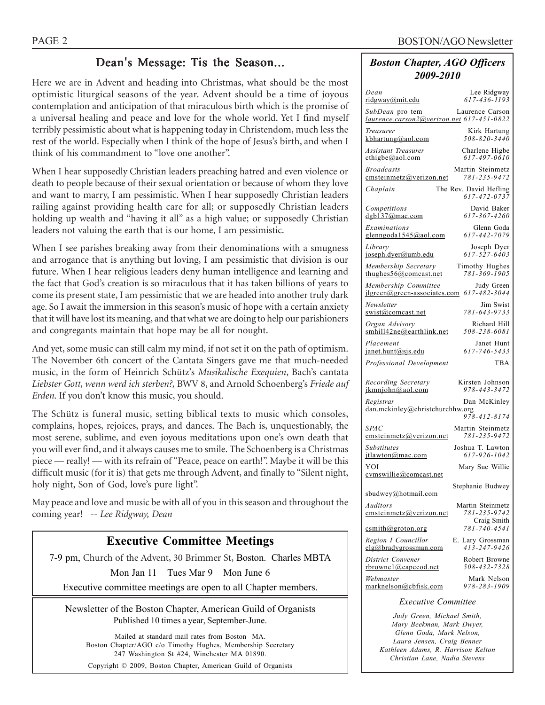# Dean's Message: Tis the Season...

Here we are in Advent and heading into Christmas, what should be the most optimistic liturgical seasons of the year. Advent should be a time of joyous contemplation and anticipation of that miraculous birth which is the promise of a universal healing and peace and love for the whole world. Yet I find myself terribly pessimistic about what is happening today in Christendom, much less the rest of the world. Especially when I think of the hope of Jesus's birth, and when I think of his commandment to "love one another".

When I hear supposedly Christian leaders preaching hatred and even violence or death to people because of their sexual orientation or because of whom they love and want to marry, I am pessimistic. When I hear supposedly Christian leaders railing against providing health care for all; or supposedly Christian leaders holding up wealth and "having it all" as a high value; or supposedly Christian leaders not valuing the earth that is our home, I am pessimistic.

When I see parishes breaking away from their denominations with a smugness and arrogance that is anything but loving, I am pessimistic that division is our future. When I hear religious leaders deny human intelligence and learning and the fact that God's creation is so miraculous that it has taken billions of years to come its present state, I am pessimistic that we are headed into another truly dark age. So I await the immersion in this season's music of hope with a certain anxiety that it will have lost its meaning, and that what we are doing to help our parishioners and congregants maintain that hope may be all for nought.

And yet, some music can still calm my mind, if not set it on the path of optimism. The November 6th concert of the Cantata Singers gave me that much-needed music, in the form of Heinrich Schütz's *Musikalische Exequien*, Bach's cantata *Liebster Gott, wenn werd ich sterben?,* BWV 8, and Arnold Schoenberg's *Friede auf Erden*. If you don't know this music, you should.

The Schütz is funeral music, setting biblical texts to music which consoles, complains, hopes, rejoices, prays, and dances. The Bach is, unquestionably, the most serene, sublime, and even joyous meditations upon one's own death that you will ever find, and it always causes me to smile. The Schoenberg is a Christmas piece — really! — with its refrain of "Peace, peace on earth!". Maybe it will be this difficult music (for it is) that gets me through Advent, and finally to "Silent night, holy night, Son of God, love's pure light".

May peace and love and music be with all of you in this season and throughout the coming year! *-- Lee Ridgway, Dean*

# **Executive Committee Meetings**

7-9 pm, Church of the Advent, 30 Brimmer St, Boston. Charles MBTA

Mon Jan 11 Tues Mar 9 Mon June 6

Executive committee meetings are open to all Chapter members.

Newsletter of the Boston Chapter, American Guild of Organists Published 10 times a year, September-June.

Mailed at standard mail rates from Boston MA. Boston Chapter/AGO c/o Timothy Hughes, Membership Secretary 247 Washington St #24, Winchester MA 01890. Copyright © 2009, Boston Chapter, American Guild of Organists

## *Boston Chapter, AGO Officers 2009-2010*

| Dean                                                         | Lee Ridgway                            |
|--------------------------------------------------------------|----------------------------------------|
| <u>ridgway@mit.edu</u>                                       | 617-436-1193                           |
| SubDean pro tem<br>laurence.carson2@yerizon.net 617-451-0822 | Laurence Carson                        |
| Treasurer                                                    | Kirk Hartung                           |
| kbhartung@aol.com                                            | 508-820-3440                           |
| Assistant Treasurer                                          | Charlene Higbe                         |
| $c$ thigbe@aol.com                                           | 617-497-0610                           |
| <b>Broadcasts</b>                                            | Martin Steinmetz                       |
| emsteinmetz@verizon.net                                      | 781-235-9472                           |
| Chaplain                                                     | The Rev. David Hefling<br>617-472-0737 |
| Competitions                                                 | David Baker                            |
| dgb137@mac.com                                               | 617-367-4260                           |
| Examinations                                                 | Glenn Goda                             |
| glenngoda1545@aol.com                                        | 617-442-7079                           |
| Library                                                      | Joseph Dyer                            |
| joseph.dyer@umb.edu                                          | $617 - 527 - 6403$                     |
| Membership Secretary                                         | Timothy Hughes                         |
| thughes $56@$ comcast.net                                    | 781-369-1905                           |
| Membership Committee                                         | Judy Green<br>617-482-3044             |
| $ilgreen(\partial)$ green-associates.com<br>Newsletter       | Jim Swist                              |
| swist@comcast.net                                            | 781-643-9733                           |
| Organ Advisory                                               | Richard Hill                           |
| smhill42ne@earthlink.net                                     | 508-238-6081                           |
| Placement                                                    | Janet Hunt                             |
| janet.hunt@sjs.edu                                           | 617-746-5433                           |
| Professional Development                                     | TBA                                    |
| Recording Secretary                                          | Kirsten Johnson                        |
| ikmniohn@aol.com                                             | 978-443-3472                           |
| Registrar                                                    | Dan McKinley                           |
| dan.mckinley@christchurchhw.org                              | 978-412-8174                           |
| <i>SPAC</i>                                                  | Martin Steinmetz                       |
| emsteinmetz@verizon.net                                      | 781-235-9472                           |
| <b>Substitutes</b>                                           | Joshua T. Lawton                       |
| itlawton@mac.com                                             | 617-926-1042                           |
|                                                              |                                        |
| YOI                                                          | Mary Sue Willie                        |
| cymswillie@comcast.net                                       | Stephanie Budwey                       |
| sbudwey@hotmail.com                                          |                                        |
| Auditors                                                     | Martin Steinmetz                       |
| cmsteinmetz@verizon.net                                      | 781-235-9742                           |
| csmith@groton.org                                            | Craig Smith<br>$781 - 740 - 4541$      |
| Region I Councillor                                          | E. Lary Grossman                       |
| elg@bradygrossman.com                                        | 413-247-9426                           |
| District Convener                                            | Robert Browne                          |
| $rbrownel$ @capecod.net                                      | 508-432-7328                           |
| Webmaster                                                    | Mark Nelson                            |
| marknelson@cbfisk.com                                        | 978-283-1909                           |

#### *Executive Committee*

*Judy Green, Michael Smith, Mary Beekman, Mark Dwyer, Glenn Goda, Mark Nelson, Laura Jensen, Craig Benner Kathleen Adams, R. Harrison Kelton Christian Lane, Nadia Stevens*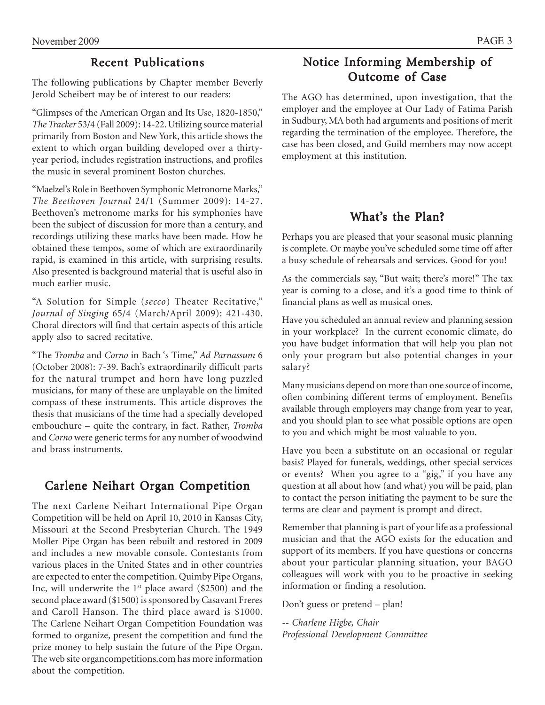# **Recent Publications**

The following publications by Chapter member Beverly Jerold Scheibert may be of interest to our readers:

"Glimpses of the American Organ and Its Use, 1820-1850," *The Tracker* 53/4 (Fall 2009): 14-22. Utilizing source material primarily from Boston and New York, this article shows the extent to which organ building developed over a thirtyyear period, includes registration instructions, and profiles the music in several prominent Boston churches.

"Maelzel's Role in Beethoven Symphonic Metronome Marks," *The Beethoven Journal* 24/1 (Summer 2009): 14-27. Beethoven's metronome marks for his symphonies have been the subject of discussion for more than a century, and recordings utilizing these marks have been made. How he obtained these tempos, some of which are extraordinarily rapid, is examined in this article, with surprising results. Also presented is background material that is useful also in much earlier music.

"A Solution for Simple (*secco*) Theater Recitative," *Journal of Singing* 65/4 (March/April 2009): 421-430. Choral directors will find that certain aspects of this article apply also to sacred recitative.

"The *Tromba* and *Corno* in Bach 's Time," *Ad Parnassum* 6 (October 2008): 7-39. Bach's extraordinarily difficult parts for the natural trumpet and horn have long puzzled musicians, for many of these are unplayable on the limited compass of these instruments. This article disproves the thesis that musicians of the time had a specially developed embouchure – quite the contrary, in fact. Rather, *Tromba* and *Corno* were generic terms for any number of woodwind and brass instruments.

# Carlene Neihart Organ Competition

The next Carlene Neihart International Pipe Organ Competition will be held on April 10, 2010 in Kansas City, Missouri at the Second Presbyterian Church. The 1949 Moller Pipe Organ has been rebuilt and restored in 2009 and includes a new movable console. Contestants from various places in the United States and in other countries are expected to enter the competition. Quimby Pipe Organs, Inc, will underwrite the  $1<sup>st</sup>$  place award (\$2500) and the second place award (\$1500) is sponsored by Casavant Freres and Caroll Hanson. The third place award is \$1000. The Carlene Neihart Organ Competition Foundation was formed to organize, present the competition and fund the prize money to help sustain the future of the Pipe Organ. The web site organcompetitions.com has more information about the competition.

# Notice Informing Membership of Outcome of Case

The AGO has determined, upon investigation, that the employer and the employee at Our Lady of Fatima Parish in Sudbury, MA both had arguments and positions of merit regarding the termination of the employee. Therefore, the case has been closed, and Guild members may now accept employment at this institution.

# What's the Plan?

Perhaps you are pleased that your seasonal music planning is complete. Or maybe you've scheduled some time off after a busy schedule of rehearsals and services. Good for you!

As the commercials say, "But wait; there's more!" The tax year is coming to a close, and it's a good time to think of financial plans as well as musical ones.

Have you scheduled an annual review and planning session in your workplace? In the current economic climate, do you have budget information that will help you plan not only your program but also potential changes in your salary?

Many musicians depend on more than one source of income, often combining different terms of employment. Benefits available through employers may change from year to year, and you should plan to see what possible options are open to you and which might be most valuable to you.

Have you been a substitute on an occasional or regular basis? Played for funerals, weddings, other special services or events? When you agree to a "gig," if you have any question at all about how (and what) you will be paid, plan to contact the person initiating the payment to be sure the terms are clear and payment is prompt and direct.

Remember that planning is part of your life as a professional musician and that the AGO exists for the education and support of its members. If you have questions or concerns about your particular planning situation, your BAGO colleagues will work with you to be proactive in seeking information or finding a resolution.

Don't guess or pretend – plan!

*-- Charlene Higbe, Chair Professional Development Committee*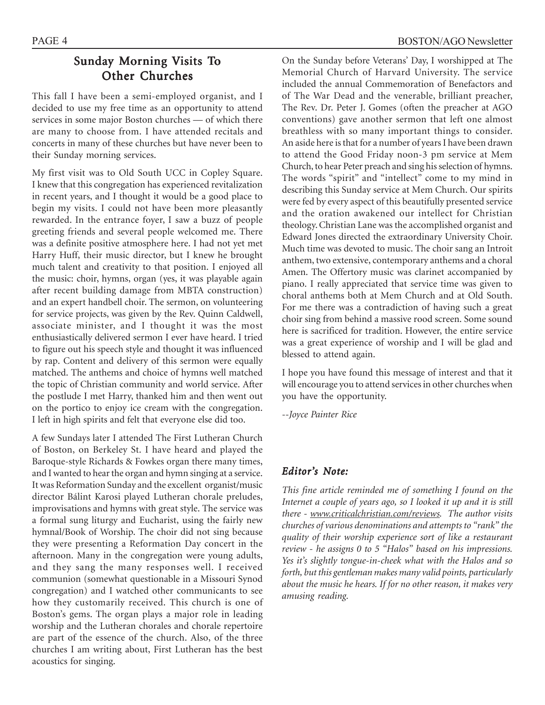# Sunday Morning Visits To Other Churches

This fall I have been a semi-employed organist, and I decided to use my free time as an opportunity to attend services in some major Boston churches — of which there are many to choose from. I have attended recitals and concerts in many of these churches but have never been to their Sunday morning services.

My first visit was to Old South UCC in Copley Square. I knew that this congregation has experienced revitalization in recent years, and I thought it would be a good place to begin my visits. I could not have been more pleasantly rewarded. In the entrance foyer, I saw a buzz of people greeting friends and several people welcomed me. There was a definite positive atmosphere here. I had not yet met Harry Huff, their music director, but I knew he brought much talent and creativity to that position. I enjoyed all the music: choir, hymns, organ (yes, it was playable again after recent building damage from MBTA construction) and an expert handbell choir. The sermon, on volunteering for service projects, was given by the Rev. Quinn Caldwell, associate minister, and I thought it was the most enthusiastically delivered sermon I ever have heard. I tried to figure out his speech style and thought it was influenced by rap. Content and delivery of this sermon were equally matched. The anthems and choice of hymns well matched the topic of Christian community and world service. After the postlude I met Harry, thanked him and then went out on the portico to enjoy ice cream with the congregation. I left in high spirits and felt that everyone else did too.

A few Sundays later I attended The First Lutheran Church of Boston, on Berkeley St. I have heard and played the Baroque-style Richards & Fowkes organ there many times, and I wanted to hear the organ and hymn singing at a service. It was Reformation Sunday and the excellent organist/music director Bálint Karosi played Lutheran chorale preludes, improvisations and hymns with great style. The service was a formal sung liturgy and Eucharist, using the fairly new hymnal/Book of Worship. The choir did not sing because they were presenting a Reformation Day concert in the afternoon. Many in the congregation were young adults, and they sang the many responses well. I received communion (somewhat questionable in a Missouri Synod congregation) and I watched other communicants to see how they customarily received. This church is one of Boston's gems. The organ plays a major role in leading worship and the Lutheran chorales and chorale repertoire are part of the essence of the church. Also, of the three churches I am writing about, First Lutheran has the best acoustics for singing.

On the Sunday before Veterans' Day, I worshipped at The Memorial Church of Harvard University. The service included the annual Commemoration of Benefactors and of The War Dead and the venerable, brilliant preacher, The Rev. Dr. Peter J. Gomes (often the preacher at AGO conventions) gave another sermon that left one almost breathless with so many important things to consider. An aside here is that for a number of years I have been drawn to attend the Good Friday noon-3 pm service at Mem Church, to hear Peter preach and sing his selection of hymns. The words "spirit" and "intellect" come to my mind in describing this Sunday service at Mem Church. Our spirits were fed by every aspect of this beautifully presented service and the oration awakened our intellect for Christian theology. Christian Lane was the accomplished organist and Edward Jones directed the extraordinary University Choir. Much time was devoted to music. The choir sang an Introit anthem, two extensive, contemporary anthems and a choral Amen. The Offertory music was clarinet accompanied by piano. I really appreciated that service time was given to choral anthems both at Mem Church and at Old South. For me there was a contradiction of having such a great choir sing from behind a massive rood screen. Some sound here is sacrificed for tradition. However, the entire service was a great experience of worship and I will be glad and blessed to attend again.

I hope you have found this message of interest and that it will encourage you to attend services in other churches when you have the opportunity.

--*Joyce Painter Rice*

## *Editor's Note:*

*This fine article reminded me of something I found on the Internet a couple of years ago, so I looked it up and it is still there - www.criticalchristian.com/reviews. The author visits churches of various denominations and attempts to "rank" the quality of their worship experience sort of like a restaurant review - he assigns 0 to 5 "Halos" based on his impressions. Yes it's slightly tongue-in-cheek what with the Halos and so forth, but this gentleman makes many valid points, particularly about the music he hears. If for no other reason, it makes very amusing reading.*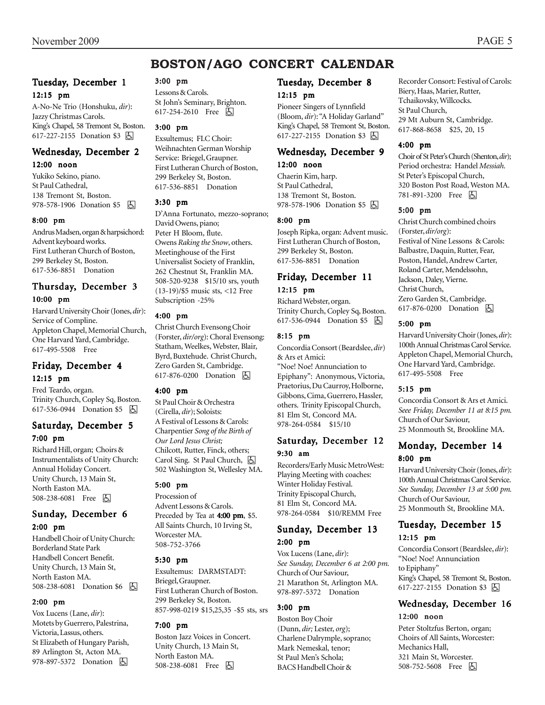# **BOSTON/AGO CONCERT CALENDAR**

## Tuesday, December 1 12:15 pm

A-No-Ne Trio (Honshuku, *dir*): Jazzy Christmas Carols. King's Chapel, 58 Tremont St, Boston. 617-227-2155 Donation \$3 因

## Wednesday, December 2

#### 12:00 noon

Yukiko Sekino, piano. St Paul Cathedral, 138 Tremont St, Boston. 978-578-1906 Donation \$5 | A

#### 8:00 pm

Andrus Madsen, organ & harpsichord: Advent keyboard works. First Lutheran Church of Boston, 299 Berkeley St, Boston. 617-536-8851 Donation

## Thursday, December 3 10:00 pm

Harvard University Choir (Jones, *dir*): Service of Compline. Appleton Chapel, Memorial Church, One Harvard Yard, Cambridge. 617-495-5508 Free

# Friday, December 4

## 12:15 pm

Fred Teardo, organ. Trinity Church, Copley Sq, Boston. 617-536-0944 Donation \$5 | A

## Saturday, December 5 7:00 pm

Richard Hill, organ; Choirs & Instrumentalists of Unity Church: Annual Holiday Concert. Unity Church, 13 Main St, North Easton MA. 508-238-6081 Free 因

## Sunday, December 6 2:00 pm

Handbell Choir of Unity Church: Borderland State Park Handbell Concert Benefit. Unity Church, 13 Main St, North Easton MA. 508-238-6081 Donation \$6 | A

#### 2:00 pm

Vox Lucens (Lane, *dir*): Motets by Guerrero, Palestrina, Victoria, Lassus, others. St Elizabeth of Hungary Parish, 89 Arlington St, Acton MA. 978-897-5372 Donation  $\Box$ 

#### 3:00 pm

Lessons & Carols. St John's Seminary, Brighton. 617-254-2610 Free **A** 

#### 3:00 pm

Exsultemus; FLC Choir: Weihnachten German Worship Service: Briegel, Graupner. First Lutheran Church of Boston, 299 Berkeley St, Boston. 617-536-8851 Donation

#### 3:30 pm

D'Anna Fortunato, mezzo-soprano; David Owens, piano; Peter H Bloom, flute. Owens *Raking the Snow*, others. Meetinghouse of the First Universalist Society of Franklin, 262 Chestnut St, Franklin MA. 508-520-9238 \$15/10 srs, youth (13-19)/\$5 music sts, <12 Free Subscription -25%

#### 4:00 pm

Christ Church Evensong Choir (Forster, *dir/org*): Choral Evensong: Statham, Weelkes, Webster, Blair, Byrd, Buxtehude. Christ Church, Zero Garden St, Cambridge. 617-876-0200 Donation **A** 

#### 4:00 pm

St Paul Choir & Orchestra (Cirella, *dir*); Soloists: A Festival of Lessons & Carols: Charpentier *Song of the Birth of Our Lord Jesus Christ;* Chilcott, Rutter, Finck, others; Carol Sing. St Paul Church,  $\Box$ 502 Washington St, Wellesley MA.

#### 5:00 pm

Procession of Advent Lessons & Carols. Preceded by Tea at 4:00 pm, \$5. All Saints Church, 10 Irving St, Worcester MA. 508-752-3766

#### 5:30 pm

Exsultemus: DARMSTADT: Briegel, Graupner. First Lutheran Church of Boston. 299 Berkeley St, Boston. 857-998-0219 \$15,25,35 -\$5 sts, srs

#### 7:00 pm

Boston Jazz Voices in Concert. Unity Church, 13 Main St, North Easton MA. 508-238-6081 Free **A** 

## Tuesday, December 8

#### 12:15 pm

Pioneer Singers of Lynnfield (Bloom, *dir*): "A Holiday Garland" King's Chapel, 58 Tremont St, Boston. 617-227-2155 Donation \$3 因

## Wednesday, December 9

### 12:00 noon

Chaerin Kim, harp. St Paul Cathedral, 138 Tremont St, Boston. 978-578-1906 Donation \$5 因

#### 8:00 pm

Joseph Ripka, organ: Advent music. First Lutheran Church of Boston, 299 Berkeley St, Boston. 617-536-8851 Donation

## Friday, December 11

## 12:15 pm

Richard Webster, organ. Trinity Church, Copley Sq, Boston. 617-536-0944 Donation \$5 **b** 

#### 8:15 pm

Concordia Consort (Beardslee, *dir*) & Ars et Amici:

"Noe! Noe! Annunciation to Epiphany": Anonymous, Victoria, Praetorius, Du Caurroy, Holborne, Gibbons, Cima, Guerrero, Hassler, others. Trinity Episcopal Church, 81 Elm St, Concord MA. 978-264-0584 \$15/10

## Saturday, December 12 9:30 am

Recorders/Early Music MetroWest: Playing Meeting with coaches: Winter Holiday Festival. Trinity Episcopal Church, 81 Elm St, Concord MA. 978-264-0584 \$10/REMM Free

## Sunday, December 13 2:00 pm

Vox Lucens (Lane, *dir*): *See Sunday, December 6 at 2:00 pm.* Church of Our Saviour, 21 Marathon St, Arlington MA. 978-897-5372 Donation

## 3:00 pm

Boston Boy Choir (Dunn, *dir;* Lester, *org*); Charlene Dalrymple, soprano; Mark Nemeskal, tenor; St Paul Men's Schola; BACS Handbell Choir &

Recorder Consort: Festival of Carols: Biery, Haas, Marier, Rutter, Tchaikovsky, Willcocks. St Paul Church, 29 Mt Auburn St, Cambridge. 617-868-8658 \$25, 20, 15

#### 4:00 pm

Choir of St Peter's Church (Shenton, *dir*); Period orchestra: Handel *Messiah.* St Peter's Episcopal Church, 320 Boston Post Road, Weston MA. 781-891-3200 Free 因

#### 5:00 pm

Christ Church combined choirs (Forster, *dir/org*): Festival of Nine Lessons & Carols: Balbastre, Daquin, Rutter, Fear, Poston, Handel, Andrew Carter, Roland Carter, Mendelssohn, Jackson, Daley, Vierne. Christ Church, Zero Garden St, Cambridge. 617-876-0200 Donation  $\Box$ 

#### 5:00 pm

Harvard University Choir (Jones, *dir*): 100th Annual Christmas Carol Service. Appleton Chapel, Memorial Church, One Harvard Yard, Cambridge. 617-495-5508 Free

#### 5:15 pm

Concordia Consort & Ars et Amici. *Seee Friday, December 11 at 8:15 pm.* Church of Our Saviour, 25 Monmouth St, Brookline MA.

## Monday, December 14 8:00 pm

Harvard University Choir (Jones, *dir*): 100th Annual Christmas Carol Service. *See Sunday, December 13 at 5:00 pm.* Church of Our Saviour, 25 Monmouth St, Brookline MA.

## Tuesday, December 15 12:15 pm

Concordia Consort (Beardslee, *dir*): "Noe! Noe! Annunciation to Epiphany" King's Chapel, 58 Tremont St, Boston. 617-227-2155 Donation \$3 因

## Wednesday, December 16 12:00 noon

Peter Stoltzfus Berton, organ; Choirs of All Saints, Worcester: Mechanics Hall, 321 Main St, Worcester. 508-752-5608 Free 因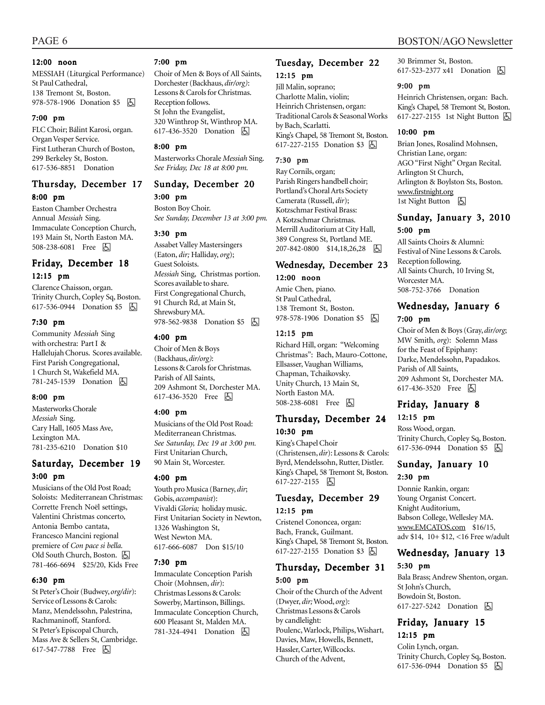#### 12:00 noon

MESSIAH (Liturgical Performance) St Paul Cathedral, 138 Tremont St, Boston. 978-578-1906 Donation \$5 | A

#### 7:00 pm

FLC Choir; Bálint Karosi, organ. Organ Vesper Service. First Lutheran Church of Boston, 299 Berkeley St, Boston. 617-536-8851 Donation

## Thursday, December 17 8:00 pm

Easton Chamber Orchestra Annual *Messiah* Sing. Immaculate Conception Church, 193 Main St, North Easton MA. 508-238-6081 Free 因

## Friday, December 18 12:15 pm

Clarence Chaisson, organ. Trinity Church, Copley Sq, Boston. 617-536-0944 Donation \$5 **b** 

#### 7:30 pm

Community *Messiah* Sing with orchestra: Part I & Hallelujah Chorus. Scores available. First Parish Congregational, 1 Church St, Wakefield MA. 781-245-1539 Donation **b** 

#### 8:00 pm

Masterworks Chorale *Messiah* Sing. Cary Hall, 1605 Mass Ave, Lexington MA. 781-235-6210 Donation \$10

## Saturday, December 19 3:00 pm

Musicians of the Old Post Road; Soloists: Mediterranean Christmas: Corrette French Noël settings, Valentini Christmas concerto, Antonia Bembo cantata, Francesco Mancini regional premiere of *Con pace si bella.* Old South Church, Boston. (人 781-466-6694 \$25/20, Kids Free

#### 6:30 pm

St Peter's Choir (Budwey, *org/dir*): Service of Lessons & Carols: Manz, Mendelssohn, Palestrina, Rachmaninoff, Stanford. St Peter's Episcopal Church, Mass Ave & Sellers St, Cambridge. 617-547-7788 Free 因

#### 7:00 pm

Choir of Men & Boys of All Saints, Dorchester (Backhaus, *dir/org)*: Lessons & Carols for Christmas. Reception follows. St John the Evangelist, 320 Winthrop St, Winthrop MA. 617-436-3520 Donation **b** 

#### 8:00 pm

Masterworks Chorale *Messiah* Sing. *See Friday, Dec 18 at 8:00 pm.*

# Sunday, December 20

3:00 pm

Boston Boy Choir. *See Sunday, December 13 at 3:00 pm.*

#### 3:30 pm

Assabet Valley Mastersingers (Eaton, *dir;* Halliday, *org*); Guest Soloists. *Messiah* Sing, Christmas portion. Scores available to share. First Congregational Church, 91 Church Rd, at Main St, Shrewsbury MA. 978-562-9838 Donation \$5 固

### 4:00 pm

Choir of Men & Boys (Backhaus, *dir/org)*: Lessons & Carols for Christmas. Parish of All Saints, 209 Ashmont St, Dorchester MA. 617-436-3520 Free 因

#### 4:00 pm

Musicians of the Old Post Road: Mediterranean Christmas. *See Saturday, Dec 19 at 3:00 pm.* First Unitarian Church, 90 Main St, Worcester.

#### 4:00 pm

Youth pro Musica (Barney, *dir*; Gobis, *accompanist*): Vivaldi *Gloria;* holiday music. First Unitarian Society in Newton, 1326 Washington St, West Newton MA. 617-666-6087 Don \$15/10

#### 7:30 pm

Immaculate Conception Parish Choir (Mohnsen, *dir*): Christmas Lessons & Carols: Sowerby, Martinson, Billings. Immaculate Conception Church, 600 Pleasant St, Malden MA. 781-324-4941 Donation **A** 

### Tuesday, December 22 12:15 pm

Jill Malin, soprano; Charlotte Malin, violin; Heinrich Christensen, organ: Traditional Carols & Seasonal Works by Bach, Scarlatti. King's Chapel, 58 Tremont St, Boston. 617-227-2155 Donation \$3 | A

#### 7:30 pm

Ray Cornils, organ; Parish Ringers handbell choir; Portland's Choral Arts Society Camerata (Russell, *dir*); Kotzschmar Festival Brass: A Kotzschmar Christmas. Merrill Auditorium at City Hall, 389 Congress St, Portland ME. 207-842-0800 \$14,18,26,28 因

## Wednesday, December 23 12:00 noon

Amie Chen, piano. St Paul Cathedral, 138 Tremont St, Boston. 978-578-1906 Donation \$5 因

#### 12:15 pm

Richard Hill, organ: "Welcoming Christmas": Bach, Mauro-Cottone, Ellsasser, Vaughan Williams, Chapman, Tchaikovsky. Unity Church, 13 Main St, North Easton MA. 508-238-6081 Free 因

## Thursday, December 24 10:30 pm

King's Chapel Choir (Christensen, *dir*): Lessons & Carols: Byrd, Mendelssohn, Rutter, Distler. King's Chapel, 58 Tremont St, Boston. 617-227-2155 因

## Tuesday, December 29 12:15 pm

Cristenel Cononcea, organ: Bach, Franck, Guilmant. King's Chapel, 58 Tremont St, Boston. 617-227-2155 Donation \$3 **A** 

## Thursday, December 31 5:00 pm

Choir of the Church of the Advent (Dwyer, *dir;* Wood, *org*): Christmas Lessons & Carols by candlelight: Poulenc, Warlock, Philips, Wishart, Davies, Maw, Howells, Bennett, Hassler, Carter, Willcocks. Church of the Advent,

30 Brimmer St, Boston. 617-523-2377 x41 Donation **b** 

#### 9:00 pm

Heinrich Christensen, organ: Bach. King's Chapel, 58 Tremont St, Boston. 617-227-2155 1st Night Button **b** 

#### 10:00 pm

Brian Jones, Rosalind Mohnsen, Christian Lane, organ: AGO "First Night" Organ Recital. Arlington St Church, Arlington & Boylston Sts, Boston. www.firstnight.org 1st Night Button | 6

## Sunday, January 3, 2010 5:00 pm

All Saints Choirs & Alumni: Festival of Nine Lessons & Carols. Reception following. All Saints Church, 10 Irving St, Worcester MA. 508-752-3766 Donation

## Wednesday, January 6 7:00 pm

Choir of Men & Boys (Gray, *dir/org*; MW Smith, *org*): Solemn Mass for the Feast of Epiphany: Darke, Mendelssohn, Papadakos. Parish of All Saints, 209 Ashmont St, Dorchester MA. 617-436-3520 Free 因

## Friday, January 8

12:15 pm

Ross Wood, organ. Trinity Church, Copley Sq, Boston. 617-536-0944 Donation \$5 | A

## Sunday, January 10

## 2:30 pm

Donnie Rankin, organ: Young Organist Concert. Knight Auditorium, Babson College, Wellesley MA. www.EMCATOS.com \$16/15, adv \$14, 10+ \$12, <16 Free w/adult

## Wednesday, January 13 5:30 pm

Bala Brass; Andrew Shenton, organ. St John's Church, Bowdoin St, Boston. 617-227-5242 Donation **A** 

## Friday, January 15 12:15 pm

Colin Lynch, organ. Trinity Church, Copley Sq, Boston. 617-536-0944 Donation \$5 h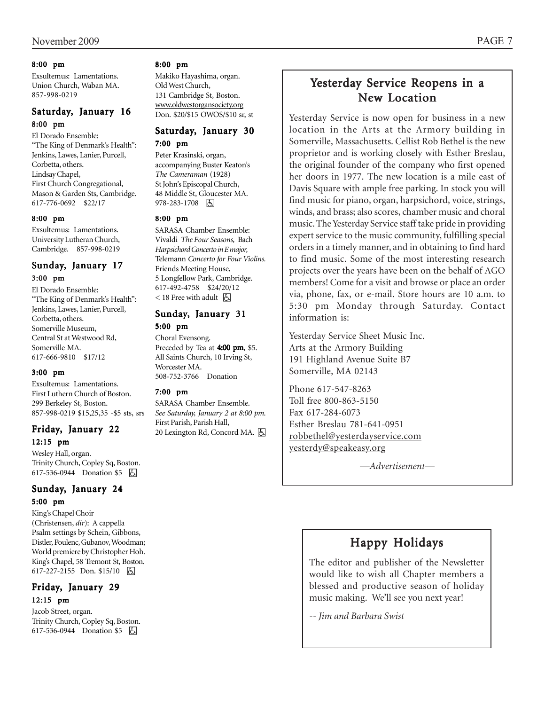### 8:00 pm

Exsultemus: Lamentations. Union Church, Waban MA. 857-998-0219

## Saturday, January 16 8:00 pm

El Dorado Ensemble: "The King of Denmark's Health": Jenkins, Lawes, Lanier, Purcell, Corbetta, others. Lindsay Chapel, First Church Congregational, Mason & Garden Sts, Cambridge. 617-776-0692 \$22/17

#### 8:00 pm

Exsultemus: Lamentations. University Lutheran Church, Cambridge. 857-998-0219

## Sunday, January 17 3:00 pm

El Dorado Ensemble: "The King of Denmark's Health": Jenkins, Lawes, Lanier, Purcell, Corbetta, others. Somerville Museum, Central St at Westwood Rd,

Somerville MA. 617-666-9810 \$17/12

## 3:00 pm

Exsultemus: Lamentations. First Luthern Church of Boston. 299 Berkeley St, Boston. 857-998-0219 \$15,25,35 -\$5 sts, srs

## Friday, January 22 12:15 pm

Wesley Hall, organ. Trinity Church, Copley Sq, Boston. 617-536-0944 Donation \$5 因

## Sunday, January 24 5:00 pm

King's Chapel Choir (Christensen, *dir*): A cappella Psalm settings by Schein, Gibbons, Distler, Poulenc, Gubanov, Woodman; World premiere by Christopher Hoh. King's Chapel, 58 Tremont St, Boston. 617-227-2155 Don. \$15/10 | A

## Friday, January 29 12:15 pm

Jacob Street, organ. Trinity Church, Copley Sq, Boston. 617-536-0944 Donation \$5 **b** 

## 8:00 pm

Makiko Hayashima, organ. Old West Church, 131 Cambridge St, Boston. www.oldwestorgansociety.org Don. \$20/\$15 OWOS/\$10 sr, st

### Saturday, January 30 7:00 pm

Peter Krasinski, organ, accompanying Buster Keaton's *The Cameraman* (1928) St John's Episcopal Church, 48 Middle St, Gloucester MA. 978-283-1708 因

### 8:00 pm

SARASA Chamber Ensemble: Vivaldi *The Four Seasons,* Bach *Harpsichord Concerto in E major,* Telemann *Concerto for Four Violins.* Friends Meeting House, 5 Longfellow Park, Cambridge. 617-492-4758 \$24/20/12  $<$  18 Free with adult  $\sqrt{2}$ 

## Sunday, January 31 5:00 pm

Choral Evensong. Preceded by Tea at 4:00 pm, \$5. All Saints Church, 10 Irving St, Worcester MA. 508-752-3766 Donation

## 7:00 pm

SARASA Chamber Ensemble. *See Saturday, January 2 at 8:00 pm.* First Parish, Parish Hall, 20 Lexington Rd, Concord MA.  $\boxed{6}$ 

# Yesterday Service Reopens in a New Location

Yesterday Service is now open for business in a new location in the Arts at the Armory building in Somerville, Massachusetts. Cellist Rob Bethel is the new proprietor and is working closely with Esther Breslau, the original founder of the company who first opened her doors in 1977. The new location is a mile east of Davis Square with ample free parking. In stock you will find music for piano, organ, harpsichord, voice, strings, winds, and brass; also scores, chamber music and choral music. The Yesterday Service staff take pride in providing expert service to the music community, fulfilling special orders in a timely manner, and in obtaining to find hard to find music. Some of the most interesting research projects over the years have been on the behalf of AGO members! Come for a visit and browse or place an order via, phone, fax, or e-mail. Store hours are 10 a.m. to 5:30 pm Monday through Saturday. Contact information is:

Yesterday Service Sheet Music Inc. Arts at the Armory Building 191 Highland Avenue Suite B7 Somerville, MA 02143

Phone 617-547-8263 Toll free 800-863-5150 Fax 617-284-6073 Esther Breslau 781-641-0951 robbethel@yesterdayservice.com yesterdy@speakeasy.org

*—Advertisement—*

# Happy Holidays

The editor and publisher of the Newsletter would like to wish all Chapter members a blessed and productive season of holiday music making. We'll see you next year!

*-- Jim and Barbara Swist*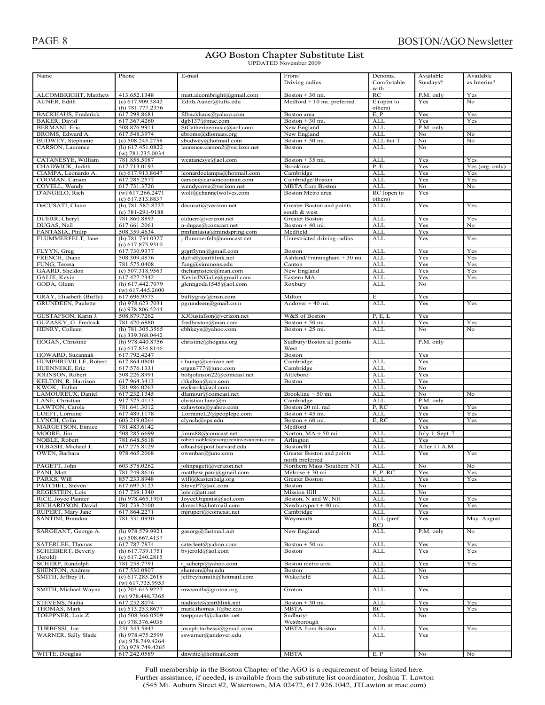# **AGO Boston Chapter Substitute List**<br>UPDATED November 2009

| Name                                        | Phone                                     | E-mail                                                | From/<br>Driving radius                   | Denoms.<br>Comfortable   | Available<br>Sundays? | Available<br>as Interim? |
|---------------------------------------------|-------------------------------------------|-------------------------------------------------------|-------------------------------------------|--------------------------|-----------------------|--------------------------|
|                                             |                                           |                                                       |                                           | with                     |                       |                          |
| ALCOMBRIGHT, Matthew                        | 413.652.1348                              | matt.alcombright@gmail.com                            | Boston $+30$ mi.                          | RC                       | P.M. only             | Yes                      |
| AUNER, Edith                                | (c) 617.909.3842                          | Edith.Auner@tufts.edu                                 | $Medford + 10 mi.$ preferred              | $E$ (open to             | Yes                   | No                       |
|                                             | $(h)$ 781.777.2376                        |                                                       |                                           | others)                  |                       |                          |
| <b>BACKHAUS</b> , Frederick<br>BAKER, David | 617.298.8681<br>617.367.4260              | fdbackhaus@yahoo.com<br>dgb137@mac.com                | Boston area<br>Boston + 30 mi.            | E, P<br><b>ALL</b>       | Yes<br>Yes            | Yes<br>Yes               |
| <b>BERMANI</b> . Eric                       | 508.876.9911                              | StCatherinemusic@aol.com                              | New England                               | <b>ALL</b>               | P.M. only             |                          |
| BROMS, Edward A.                            | 617.548.3974                              | ebroms@diomass.org                                    | New England                               | <b>ALL</b>               | No                    | No                       |
| BUDWEY, Stephanie                           | $(c)$ 508.245.2758                        | sbudwey@hotmail.com                                   | Boston $+50$ mi.                          | ALL but T                | No                    | No                       |
| CARSON, Laurence                            | $(h)$ 617.451.0822                        | laurence.carson2@verizon.net                          | <b>Boston</b>                             | ALL                      | No                    |                          |
|                                             | $(w)$ 781.235.0034                        |                                                       |                                           |                          |                       |                          |
| CATANESYE, William                          | 781.858.5087                              | wcatanesye@aol.com                                    | Boston $+35$ mi.                          | ALL                      | Yes                   | Yes                      |
| CHADWICK, Judith                            | 617.713.0193                              |                                                       | <b>Brookline</b>                          | P, E                     | Yes                   | Yes (org. only)          |
| CIAMPA, Leonardo A.<br>COOMAN, Carson       | (c) 617.913.8647<br>617.285.2577          | leonardociampa@hotmail.com<br>carson@carsoncooman.com | Cambridge<br>Cambridge/Boston             | <b>ALL</b><br><b>ALL</b> | Yes<br>Yes            | Yes<br>Yes               |
| COVELL, Wendy                               | 617.731.3726                              | wendycove@verizon.net                                 | <b>MBTA</b> from Boston                   | <b>ALL</b>               | No                    | No                       |
| D'ANGELO, Rich                              | $(w)$ 617.266.2471                        | wolf@channelwolves.com                                | Boston Metro area                         | RC (open to              | Yes                   |                          |
|                                             | $(c)$ 617.513.8837                        |                                                       |                                           | others)                  |                       |                          |
| DeCUSATI, Claire                            | (h) 781-582-8722<br>(c) 781-291-9188      | decusati@verizon.net                                  | Greater Boston and points<br>south & west | <b>ALL</b>               | Yes                   | Yes                      |
| DUERR, Cheryl                               | 781.860.8893                              | clduerr@verizon.net                                   | Greater Boston                            | <b>ALL</b>               | Yes                   | Yes                      |
| DUGAS, Neil                                 | 617.661.2061                              | n-dugas@comcast.net                                   | Boston + 40 mi.                           | <b>ALL</b>               | Yes                   | No                       |
| FANTASIA, Philip                            | 508.359.4634                              | pmfantasia@mindspring.com                             | Medfield                                  | <b>ALL</b>               | Yes                   |                          |
| FLUMMERFELT, Jane                           | (h) 781.734.0327                          | j.flummerfelt@comcast.net                             | Unrestricted driving radius               | <b>ALL</b>               | Yes                   | Yes                      |
|                                             | $(c)$ 617.875.9310                        |                                                       |                                           |                          |                       |                          |
| FLYYN, Greg                                 | 617.730.9377                              | grgrflynn@gmail.com                                   | <b>Boston</b>                             | ALL                      | Yes                   | Yes                      |
| FRENCH. Diane                               | 508.309.4876                              | dafrsf@earthlink.net                                  | Ashland/Framingham $+30$ mi.              | <b>ALL</b>               | Yes                   | Yes                      |
| FUNG, Teresa<br>GAARD, Sheldon              | 781.575.0408<br>$(c)$ 507.318.9563        | fung@simmons.edu<br>theharpistetc@msn.com             | Canton<br>New England                     | ALL<br><b>ALL</b>        | Yes<br>Yes            | Yes<br>Yes               |
| GALIE, Kevin                                | 617.427.2342                              | KevinJNGalie@gmail.com                                | Eastern MA                                | <b>ALL</b>               | Yes                   | Yes                      |
| GODA, Glenn                                 | (h) 617.442.7079                          | glenngoda1545@aol.com                                 | Roxbury                                   | <b>ALL</b>               | No                    |                          |
|                                             | $(w)$ 617.445.2600                        |                                                       |                                           |                          |                       |                          |
| GRAY, Elisabeth (Buffy)                     | 617.696.9575                              | buffygray@msn.com                                     | Milton                                    | Е                        | Yes                   |                          |
| GRUNDEEN, Paulette                          | $(h)$ 978.623.7031                        | pgrundeen@gmail.com                                   | Andover $+40$ mi.                         | <b>ALL</b>               | Yes                   | Yes                      |
|                                             | $(c)$ 978.806.5244                        |                                                       |                                           |                          |                       |                          |
| GUSTAFSON, Karin J.                         | 508.879.7262                              | KJGustafson@verizon.net                               | W&S of Boston                             | P, E, L                  | Yes                   |                          |
| GUZASKY, G. Fredrick                        | 781.420.6880                              | fredboston@msn.com                                    | Boston + 50 mi.                           | <b>ALL</b>               | Yes                   | Yes                      |
| HENRY, Colleen                              | (h) 781.305.3565                          | cbhkeys@yahoo.com                                     | Boston $+25$ mi.                          | <b>ALL</b>               | No                    | No                       |
|                                             | $(c)$ 339.368.0442<br>(h) 978.440.8756    |                                                       |                                           | <b>ALL</b>               |                       |                          |
| HOGAN, Christine                            | (c) 617.834.8146                          | christine@hogans.org                                  | Sudbury/Boston all points<br>West         |                          | P.M. only             |                          |
| HOWARD, Suzannah                            | 617.792.4247                              |                                                       | Boston                                    |                          | Yes                   |                          |
| HUMPHREVILLE, Robert                        | 617.864.0800                              | r.hump@verizon.net                                    | Cambridge                                 | <b>ALL</b>               | Yes                   |                          |
| HUENNEKE, Eric                              | 617.576.1331                              | organ777@juno.com                                     | Cambridge                                 | <b>ALL</b>               | No                    |                          |
| JOHNSON, Robert                             | 508.226.8991                              | bobjohnson22@comcast.net                              | Attleboro                                 | <b>ALL</b>               | Yes                   |                          |
| KELTON, R. Harrison                         | 617.964.3413                              | rhkelton@rcn.com                                      | Boston                                    | <b>ALL</b>               | Yes                   |                          |
| KWOK, Esther                                | 781.986.0263                              | ewkwok@aol.com                                        |                                           | ALL                      | No                    |                          |
| LAMOUREUX, Daniel                           | 617.232.1345                              | dlamour@comcast.net                                   | Brookline + 50 mi.                        | <b>ALL</b>               | No                    | No                       |
| LANE, Christian                             | 917.575.4113                              | christian.lane@m                                      | Cambridge                                 | <b>ALL</b>               | P.M. only             |                          |
| LAWTON, Carole                              | 781.641.3012<br>617.489.1178              | czlawton@yahoo.com<br>LorraineL2@peoplepc.com         | Boston 20 mi. rad<br>Boston $+45$ mi.     | P, RC<br><b>ALL</b>      | Yes<br>Yes            | Yes<br>Yes               |
| LUEFT, Lorraine<br>LYNCH, Colin             | 603.219.0264                              | clynch@sps.edu                                        | Boston $+60$ mi.                          | E, RC                    | Yes                   | Yes                      |
| <b>MARGETSON, Eunice</b>                    | 781.483.6142                              |                                                       | Medford                                   |                          | Yes                   |                          |
| MOORE, Jim                                  | 508.285.6699                              | jimm88@comcast.net                                    | Norton, $MA + 50$ mi.                     | <b>ALL</b>               | July 1-Sept. 7        |                          |
| NOBLE, Robert                               | 781.648.5618                              | robert.noble@evergreeninvestments.com                 | Arlington                                 | <b>ALL</b>               | Yes                   |                          |
| OLBASH, Michael J.                          | 617.275.8129                              | olbash@post.harvard.edu                               | Boston/RI                                 | <b>ALL</b>               | After 11 A.M.         |                          |
| OWEN, Barbara                               | 978.465.2068                              | owenbar@juno.com                                      | Greater Boston and points                 | ALL                      | Yes                   | Yes                      |
|                                             |                                           |                                                       | north preferred                           |                          |                       | No                       |
| PAGETT, John                                | 603.578.0262                              | johnpagett@verizon.net                                | Northern Mass./Southern NH                | <b>ALL</b>               | No                    |                          |
| PANI, Matt<br>PARKS, Will                   | 781.249.8616<br>857.233.8948              | matthew.pani@gmail.com<br>will@kastenbalg.org         | Melrose + 30 mi.<br><b>Greater Boston</b> | E, P, RC<br><b>ALL</b>   | Yes<br>Yes            | Yes<br>Yes               |
| PATCHEL, Steven                             | 617.697.5123                              | SteveP7@aol.com                                       | Boston                                    | <b>ALL</b>               | No                    |                          |
| REGESTEIN, Lois                             | 617.739.1340                              | lois.r@att.net                                        | Mission Hill                              | ALL                      | No                    |                          |
| RICE, Joyce Painter                         | (h) 978.465.1901                          | JoyceOrganist@aol.com                                 | Boston, N and W, NH                       | <b>ALL</b>               | Yes                   | Yes                      |
| RICHARDSON, David                           | 781.738.2100                              | daver18@hotmail.com                                   | Newburyport $+40$ mi.                     | ALL                      | Yes                   | Yes                      |
| RUPERT, Mary Jane                           | 617.864.2271                              | mjrupert@comcast.net                                  | Cambridge                                 | ALL                      | Yes                   |                          |
| SANTINI, Brandon                            | 781.331.0930                              |                                                       | Weymouth                                  | ALL (pref                | Yes                   | May-August               |
|                                             | (h) 978.579.9921                          |                                                       |                                           | RC)                      |                       |                          |
| SARGEANT, George A.                         | $(c)$ 508.667.4137                        | gasorg@fastmail.net                                   | New England                               | ALL                      | P.M. only             | No                       |
| <b>SATERLEE, Thomas</b>                     | 617.787.7874                              | saterleet@yahoo.com                                   | Boston + 50 mi.                           | <b>ALL</b>               | Yes                   | Yes                      |
| <b>SCHEIBERT</b> , Beverly                  | (h) 617.739.1751                          | bvjerold@aol.com                                      | Boston                                    | ALL                      | Yes                   | Yes                      |
| (Jerold)                                    | (c) 617.240.2815                          |                                                       |                                           |                          |                       |                          |
| <b>SCHERP, Randolph</b>                     | 781.258.7791                              | r scherp@yahoo.com                                    | Boston metro area                         | <b>ALL</b>               | Yes                   | Yes                      |
| SHENTON, Andrew                             | 617.530.0807                              | shenton@bu.edu                                        | <b>Boston</b>                             | ALL                      | No                    |                          |
| SMITH, Jeffrey H.                           | (c) 617,285,2618<br>$(w)$ 617.735.9953    | jeffreyhsmith@hotmail.com                             | Wakefield                                 | ALL                      | Yes                   |                          |
| SMITH, Michael Wayne                        | $(c)$ 203.645.9227                        | mwsmith@groton.org                                    | Groton                                    | ALL                      | Yes                   |                          |
|                                             | $(w)$ 978.448.7365                        |                                                       |                                           |                          |                       |                          |
| STEVENS, Nadia                              | 617.232.8074                              | nadiaste@earthlink.net                                | Boston $+30$ mi.                          | <b>ALL</b>               | Yes                   | Yes                      |
| THOMAS, Mark                                | (c) 513.253.8677                          | mark.thomas.1@bc.edu                                  | MBTA                                      | RC                       | Yes                   | Yes                      |
| TOEPPNER, Lois Z.                           | (h) $508.366.0509$                        | toeppner4@charter.net                                 | Sudbury/                                  | <b>ALL</b>               | No                    |                          |
|                                             | $(c)$ 978.376.4036                        |                                                       | Westborough                               |                          |                       |                          |
| TURBESSI, Joe                               | 231.343.5943                              | joseph.turbessi@gmail.com                             | <b>MBTA</b> from Boston                   | <b>ALL</b>               | Yes                   | Yes                      |
| WARNER, Sally Slade                         | (h) 978.475.2599                          | sswarner@andover.edu                                  |                                           | ALL                      | Yes                   |                          |
|                                             | $(w)$ 978.749.4264<br>$(fx)$ 978.749.4265 |                                                       |                                           |                          |                       |                          |
| WITTE, Douglas                              | 617.242.0589                              | dnwitte@hotmail.com                                   | MBTA                                      | E, P                     | No                    | No                       |

Full membership in the Boston Chapter of the AGO is a requirement of being listed here. ruther assistance, if needed, is available from the substitute list coordinator, Joshua T. Lawton  $(545 \text{ Mt}$ . Auburn Street #2. Watertown. MA 02472. 617.926.1042. JTLawton at mac.com)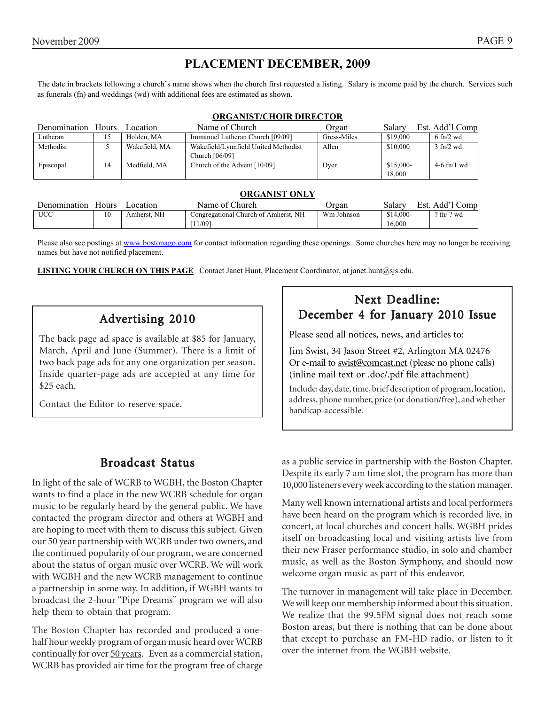## **PLACEMENT DECEMBER, 2009**

The date in brackets following a church's name shows when the church first requested a listing. Salary is income paid by the church. Services such as funerals (fn) and weddings (wd) with additional fees are estimated as shown.

#### **ORGANIST/CHOIR DIRECTOR**

| Denomination Hours |    | ocation       | Name of Church                       | Organ       | Salary    | Est. Add'l Comp             |
|--------------------|----|---------------|--------------------------------------|-------------|-----------|-----------------------------|
| Lutheran           | 15 | Holden, MA    | Immanuel Lutheran Church [09/09]     | Gress-Miles | \$19,000  | $6 \text{ ft}/2 \text{ wd}$ |
| Methodist          |    | Wakefield, MA | Wakefield/Lynnfield United Methodist | Allen       | \$10,000  | $3 \text{ fn}/2 \text{ wd}$ |
|                    |    |               | Church [06/09]                       |             |           |                             |
| Episcopal          | 14 | Medfield, MA  | Church of the Advent [10/09]         | Dyer        | \$15,000- | $4-6$ fn/1 wd               |
|                    |    |               |                                      |             | 18,000    |                             |

#### **ORGANIST ONLY**

| Denomination | Hours | ocation     | Name of Church                       | Organ      | salary     | Add'l Comp<br>Est.            |
|--------------|-------|-------------|--------------------------------------|------------|------------|-------------------------------|
| <b>UCC</b>   |       | Amherst. NH | Congregational Church of Amherst, NH | Wm Johnson | $$14,000-$ | $2 \text{ ft} / 2 \text{ wd}$ |
|              |       |             | 11/091                               |            | 16.000     |                               |

Please also see postings at www.bostonago.com for contact information regarding these openings. Some churches here may no longer be receiving names but have not notified placement.

**LISTING YOUR CHURCH ON THIS PAGE** Contact Janet Hunt, Placement Coordinator, at janet.hunt@sjs.edu.

# Advertising 2010

The back page ad space is available at \$85 for January, March, April and June (Summer). There is a limit of two back page ads for any one organization per season. Inside quarter-page ads are accepted at any time for \$25 each.

Contact the Editor to reserve space.

## **Broadcast Status**

In light of the sale of WCRB to WGBH, the Boston Chapter wants to find a place in the new WCRB schedule for organ music to be regularly heard by the general public. We have contacted the program director and others at WGBH and are hoping to meet with them to discuss this subject. Given our 50 year partnership with WCRB under two owners, and the continued popularity of our program, we are concerned about the status of organ music over WCRB. We will work with WGBH and the new WCRB management to continue a partnership in some way. In addition, if WGBH wants to broadcast the 2-hour "Pipe Dreams" program we will also help them to obtain that program.

The Boston Chapter has recorded and produced a onehalf hour weekly program of organ music heard over WCRB continually for over 50 years. Even as a commercial station, WCRB has provided air time for the program free of charge

# Next Deadline: December 4 for January 2010 Issue

Please send all notices, news, and articles to:

Jim Swist, 34 Jason Street #2, Arlington MA 02476 Or e-mail to swist@comcast.net (please no phone calls) (inline mail text or .doc/.pdf file attachment)

Include: day, date, time, brief description of program, location, address, phone number, price (or donation/free), and whether handicap-accessible.

as a public service in partnership with the Boston Chapter. Despite its early 7 am time slot, the program has more than 10,000 listeners every week according to the station manager.

Many well known international artists and local performers have been heard on the program which is recorded live, in concert, at local churches and concert halls. WGBH prides itself on broadcasting local and visiting artists live from their new Fraser performance studio, in solo and chamber music, as well as the Boston Symphony, and should now welcome organ music as part of this endeavor.

The turnover in management will take place in December. We will keep our membership informed about this situation. We realize that the 99.5FM signal does not reach some Boston areas, but there is nothing that can be done about that except to purchase an FM-HD radio, or listen to it over the internet from the WGBH website.